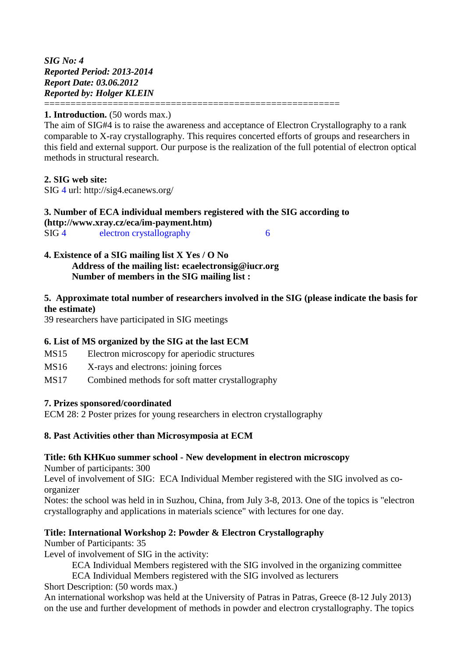*SIG No: 4 Reported Period: 2013-2014 Report Date: 03.06.2012 Reported by: Holger KLEIN* ========================================================

### **1. Introduction.** (50 words max.)

The aim of SIG#4 is to raise the awareness and acceptance of Electron Crystallography to a rank comparable to X-ray crystallography. This requires concerted efforts of groups and researchers in this field and external support. Our purpose is the realization of the full potential of electron optical methods in structural research.

#### **2. SIG web site:**

SIG 4 url: http://sig4.ecanews.org/

#### **3. Number of ECA individual members registered with the SIG according to [\(http://www.xray.cz/eca/im-payment.htm\)](http://www.xray.cz/eca/im-payment.htm)** SIG 4 electron crystallography 6

**4. Existence of a SIG mailing list X Yes / O No Address of the mailing list: ecaelectronsig@iucr.org Number of members in the SIG mailing list :** 

## **5. Approximate total number of researchers involved in the SIG (please indicate the basis for the estimate)**

39 researchers have participated in SIG meetings

## **6. List of MS organized by the SIG at the last ECM**

- MS15 Electron microscopy for aperiodic structures
- MS16 X-rays and electrons: joining forces
- MS17 Combined methods for soft matter crystallography

#### **7. Prizes sponsored/coordinated**

ECM 28: 2 Poster prizes for young researchers in electron crystallography

#### **8. Past Activities other than Microsymposia at ECM**

#### **Title: 6th KHKuo summer school - New development in electron microscopy**

Number of participants: 300

Level of involvement of SIG: ECA Individual Member registered with the SIG involved as coorganizer

Notes: the school was held in in Suzhou, China, from July 3-8, 2013. One of the topics is "electron crystallography and applications in materials science" with lectures for one day.

## **Title: International Workshop 2: Powder & Electron Crystallography**

Number of Participants: 35

Level of involvement of SIG in the activity:

ECA Individual Members registered with the SIG involved in the organizing committee

ECA Individual Members registered with the SIG involved as lecturers

Short Description: (50 words max.)

An international workshop was held at the University of Patras in Patras, Greece (8-12 July 2013) on the use and further development of methods in powder and electron crystallography. The topics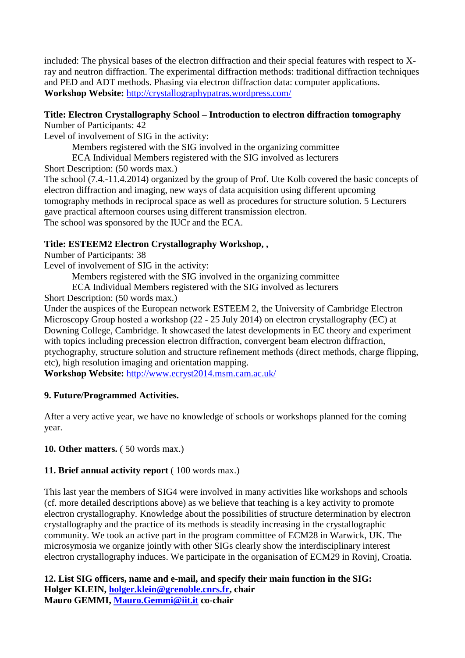included: The physical bases of the electron diffraction and their special features with respect to Xray and neutron diffraction. The experimental diffraction methods: traditional diffraction techniques and PED and ADT methods. Phasing via electron diffraction data: computer applications. **Workshop Website:** <http://crystallographypatras.wordpress.com/>

# **Title: Electron Crystallography School – Introduction to electron diffraction tomography**

Number of Participants: 42

Level of involvement of SIG in the activity:

Members registered with the SIG involved in the organizing committee

ECA Individual Members registered with the SIG involved as lecturers

Short Description: (50 words max.)

The school (7.4.-11.4.2014) organized by the group of Prof. Ute Kolb covered the basic concepts of electron diffraction and imaging, new ways of data acquisition using different upcoming tomography methods in reciprocal space as well as procedures for structure solution. 5 Lecturers gave practical afternoon courses using different transmission electron. The school was sponsored by the IUCr and the ECA.

# **Title: ESTEEM2 Electron Crystallography Workshop, ,**

Number of Participants: 38

Level of involvement of SIG in the activity:

Members registered with the SIG involved in the organizing committee

ECA Individual Members registered with the SIG involved as lecturers

Short Description: (50 words max.)

Under the auspices of the European network ESTEEM 2, the University of Cambridge Electron Microscopy Group hosted a workshop (22 - 25 July 2014) on electron crystallography (EC) at Downing College, Cambridge. It showcased the latest developments in EC theory and experiment with topics including precession electron diffraction, convergent beam electron diffraction, ptychography, structure solution and structure refinement methods (direct methods, charge flipping, etc), high resolution imaging and orientation mapping.

**Workshop Website:** <http://www.ecryst2014.msm.cam.ac.uk/>

# **9. Future/Programmed Activities.**

After a very active year, we have no knowledge of schools or workshops planned for the coming year.

**10. Other matters.** ( 50 words max.)

# **11. Brief annual activity report** ( 100 words max.)

This last year the members of SIG4 were involved in many activities like workshops and schools (cf. more detailed descriptions above) as we believe that teaching is a key activity to promote electron crystallography. Knowledge about the possibilities of structure determination by electron crystallography and the practice of its methods is steadily increasing in the crystallographic community. We took an active part in the program committee of ECM28 in Warwick, UK. The microsymosia we organize jointly with other SIGs clearly show the interdisciplinary interest electron crystallography induces. We participate in the organisation of ECM29 in Rovinj, Croatia.

**12. List SIG officers, name and e-mail, and specify their main function in the SIG: Holger KLEIN, [holger.klein@grenoble.cnrs.fr,](mailto:holger.klein@grenoble.cnrs.fr) chair Mauro GEMMI, [Mauro.Gemmi@iit.it](mailto:Mauro.Gemmi@iit.it) co-chair**